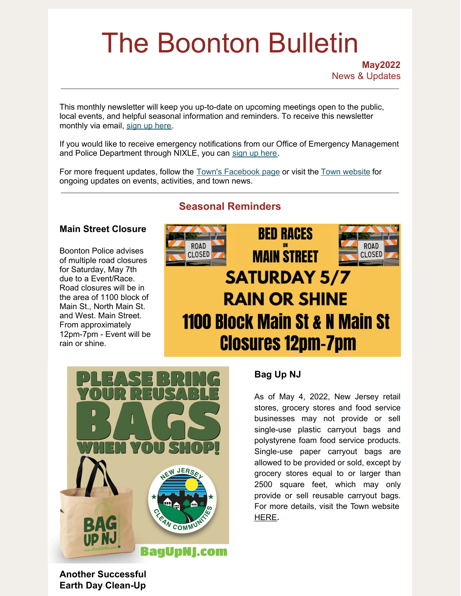# The Boonton Bulletin

**May2022** News & Updates

This monthly newsletter will keep you up-to-date on upcoming meetings open to the public, local events, and helpful seasonal information and reminders. To receive this newsletter monthly via email, sign up [here](https://visitor.r20.constantcontact.com/manage/optin?v=001R7EztVuwXkBBcWw5z4rx7Y8pHezaxmabvd0VHnnNyXuOx-FRreROjfknpcDg1PuN9FMd8t37h3fvydqMBUcqgRjQOA-D5T3_mJQaSU63Gou4fTZoQ2qAjeQl0FAI6TpAyIsntzMunLGdLYSb5kiYp0xNe5ju7v1p).

If you would like to receive emergency notifications from our Office of Emergency Management and Police Department through NIXLE, you can sign up [here](https://www.boonton.org/347/Sign-up-for-Notifications).

For more frequent updates, follow the Town's [Facebook](https://www.facebook.com/BoontonNJ) page or visit the Town [website](https://www.boonton.org/) for ongoing updates on events, activities, and town news.

# **Seasonal Reminders**

## **Main Street Closure**

Boonton Police advises of multiple road closures for Saturday, May 7th due to a Event/Race. Road closures will be in the area of 1100 block of Main St., North Main St. and West. Main Street. From approximately 12pm-7pm - Event will be rain or shine.





## **Bag Up NJ**

As of May 4, 2022, New Jersey retail stores, grocery stores and food service businesses may not provide or sell single-use plastic carryout bags and polystyrene foam food service products. Single-use paper carryout bags are allowed to be provided or sold, except by grocery stores equal to or larger than 2500 square feet, which may only provide or sell reusable carryout bags. For more details, visit the Town website [HERE](https://www.boonton.org/CivicAlerts.aspx?AID=141)**.**

**Another Successful Earth Day Clean-Up**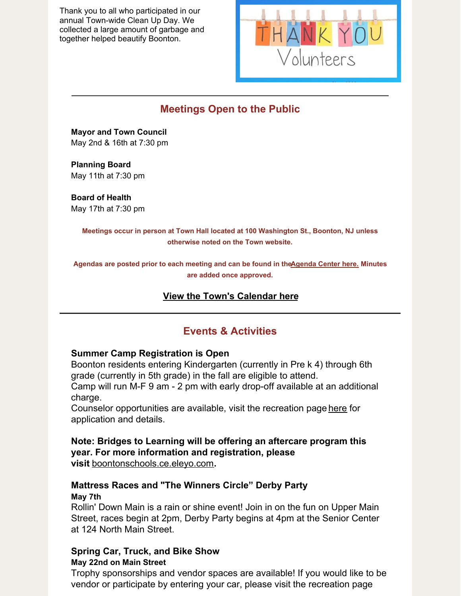Thank you to all who participated in our annual Town-wide Clean Up Day. We collected a large amount of garbage and together helped beautify Boonton.



# **Meetings Open to the Public**

**Mayor and Town Council** May 2nd & 16th at 7:30 pm

**Planning Board** May 11th at 7:30 pm

**Board of Health** May 17th at 7:30 pm

> **Meetings occur in person at Town Hall located at 100 Washington St., Boonton, NJ unless otherwise noted on the Town website.**

**Agendas are posted prior to each meeting and can be found in th[eAgenda](https://www.boonton.org/AgendaCenter) Center here. Minutes are added once approved.**

## **View the Town's [Calendar](https://www.boonton.org/calendar.aspx) here**

# **Events & Activities**

## **Summer Camp Registration is Open**

Boonton residents entering Kindergarten (currently in Pre k 4) through 6th grade (currently in 5th grade) in the fall are eligible to attend.

Camp will run M-F 9 am - 2 pm with early drop-off available at an additional charge.

Counselor opportunities are available, visit the recreation page [here](https://r20.rs6.net/tn.jsp?f=001heY8AGKL8A1cRNiIHjXi2GvLzEiFoEhNjAWYEPxzxP-z6_qw4ogRsS5Pgrhgevko2BCg2RsI1Vc_CTdxp4p9wkntiUxo9SioeOzScPCnIORrhbuB1IuqqHdq9nZ0OgQlkXs1oiTG7pHU5Eze_H6oaYbXwMpK3EHqQHkliuL41zxuECuiBGZ0_w==&c=NA_g41Hjoe2OdKiuzgKxLrDJv3qhx71cn2YdYpT3H0u0q5gdEOlrBQ==&ch=y0G4berOrC9V2B4M2ZqHeqwq7RUnJC0PuCov3NSuJXES4fFMcD0qWg==) for application and details.

# **Note: Bridges to Learning will be offering an aftercare program this year. For more information and registration, please**

**visit** [boontonschools.ce.eleyo.com](https://r20.rs6.net/tn.jsp?f=001heY8AGKL8A1cRNiIHjXi2GvLzEiFoEhNjAWYEPxzxP-z6_qw4ogRsS5PgrhgevkoHHouKaBjMhwft55btZ7E_kQEFKkoIlcsSU2GzOWqHNYiviQ9QtUrD_GJ85pHE6UPTS_96_0EtPYowm3ZFWpfWIi5PgjTAXCX&c=NA_g41Hjoe2OdKiuzgKxLrDJv3qhx71cn2YdYpT3H0u0q5gdEOlrBQ==&ch=y0G4berOrC9V2B4M2ZqHeqwq7RUnJC0PuCov3NSuJXES4fFMcD0qWg==)**.**

## **Mattress Races and "The Winners Circle" Derby Party May 7th**

Rollin' Down Main is a rain or shine event! Join in on the fun on Upper Main Street, races begin at 2pm, Derby Party begins at 4pm at the Senior Center at 124 North Main Street.

# **Spring Car, Truck, and Bike Show**

## **May 22nd on Main Street**

Trophy sponsorships and vendor spaces are available! If you would like to be vendor or participate by entering your car, please visit the recreation page